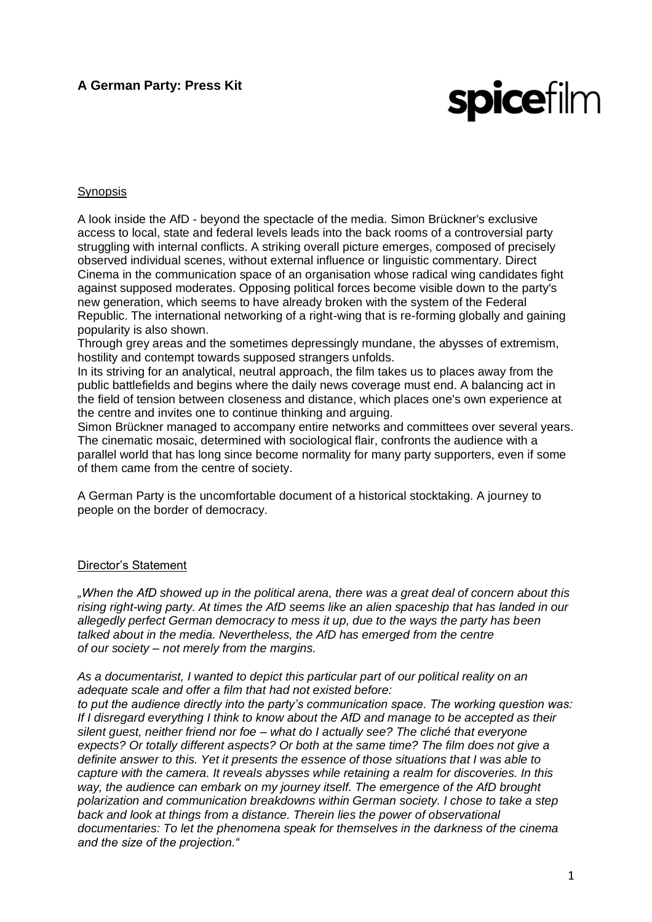# **A German Party: Press Kit**

# **spicefilm**

# Synopsis

A look inside the AfD - beyond the spectacle of the media. Simon Brückner's exclusive access to local, state and federal levels leads into the back rooms of a controversial party struggling with internal conflicts. A striking overall picture emerges, composed of precisely observed individual scenes, without external influence or linguistic commentary. Direct Cinema in the communication space of an organisation whose radical wing candidates fight against supposed moderates. Opposing political forces become visible down to the party's new generation, which seems to have already broken with the system of the Federal Republic. The international networking of a right-wing that is re-forming globally and gaining popularity is also shown.

Through grey areas and the sometimes depressingly mundane, the abysses of extremism, hostility and contempt towards supposed strangers unfolds.

In its striving for an analytical, neutral approach, the film takes us to places away from the public battlefields and begins where the daily news coverage must end. A balancing act in the field of tension between closeness and distance, which places one's own experience at the centre and invites one to continue thinking and arguing.

Simon Brückner managed to accompany entire networks and committees over several years. The cinematic mosaic, determined with sociological flair, confronts the audience with a parallel world that has long since become normality for many party supporters, even if some of them came from the centre of society.

A German Party is the uncomfortable document of a historical stocktaking. A journey to people on the border of democracy.

#### Director's Statement

*"When the AfD showed up in the political arena, there was a great deal of concern about this rising right-wing party. At times the AfD seems like an alien spaceship that has landed in our allegedly perfect German democracy to mess it up, due to the ways the party has been talked about in the media. Nevertheless, the AfD has emerged from the centre of our society – not merely from the margins.*

*As a documentarist, I wanted to depict this particular part of our political reality on an adequate scale and offer a film that had not existed before:*

*to put the audience directly into the party's communication space. The working question was: If I disregard everything I think to know about the AfD and manage to be accepted as their silent guest, neither friend nor foe – what do I actually see? The cliché that everyone expects? Or totally different aspects? Or both at the same time? The film does not give a definite answer to this. Yet it presents the essence of those situations that I was able to capture with the camera. It reveals abysses while retaining a realm for discoveries. In this way, the audience can embark on my journey itself. The emergence of the AfD brought polarization and communication breakdowns within German society. I chose to take a step back and look at things from a distance. Therein lies the power of observational documentaries: To let the phenomena speak for themselves in the darkness of the cinema and the size of the projection."*